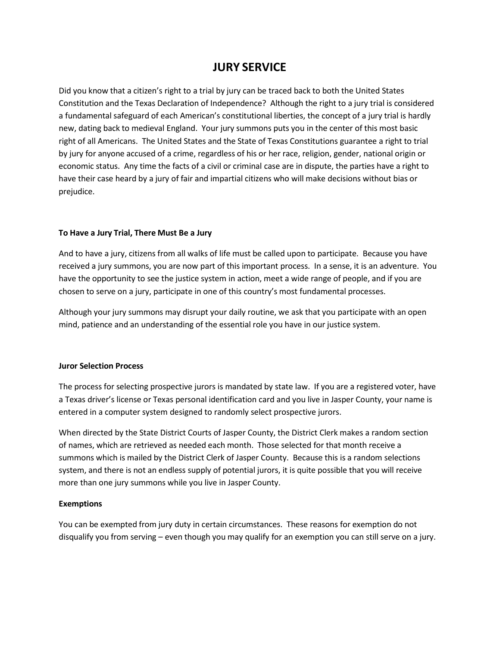# **JURY SERVICE**

Did you know that a citizen's right to a trial by jury can be traced back to both the United States Constitution and the Texas Declaration of Independence? Although the right to a jury trial is considered a fundamental safeguard of each American's constitutional liberties, the concept of a jury trial is hardly new, dating back to medieval England. Your jury summons puts you in the center of this most basic right of all Americans. The United States and the State of Texas Constitutions guarantee a right to trial by jury for anyone accused of a crime, regardless of his or her race, religion, gender, national origin or economic status. Any time the facts of a civil or criminal case are in dispute, the parties have a right to have their case heard by a jury of fair and impartial citizens who will make decisions without bias or prejudice.

# **To Have a Jury Trial, There Must Be a Jury**

And to have a jury, citizens from all walks of life must be called upon to participate. Because you have received a jury summons, you are now part of this important process. In a sense, it is an adventure. You have the opportunity to see the justice system in action, meet a wide range of people, and if you are chosen to serve on a jury, participate in one of this country's most fundamental processes.

Although your jury summons may disrupt your daily routine, we ask that you participate with an open mind, patience and an understanding of the essential role you have in our justice system.

#### **Juror Selection Process**

The process for selecting prospective jurors is mandated by state law. If you are a registered voter, have a Texas driver's license or Texas personal identification card and you live in Jasper County, your name is entered in a computer system designed to randomly select prospective jurors.

When directed by the State District Courts of Jasper County, the District Clerk makes a random section of names, which are retrieved as needed each month. Those selected for that month receive a summons which is mailed by the District Clerk of Jasper County. Because this is a random selections system, and there is not an endless supply of potential jurors, it is quite possible that you will receive more than one jury summons while you live in Jasper County.

#### **Exemptions**

You can be exempted from jury duty in certain circumstances. These reasons for exemption do not disqualify you from serving – even though you may qualify for an exemption you can still serve on a jury.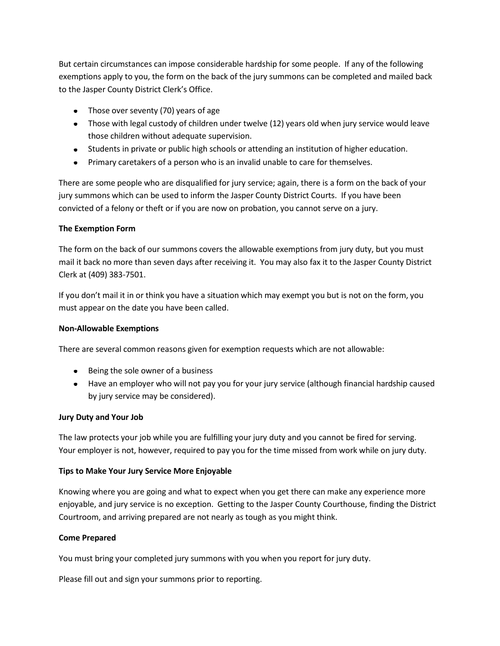But certain circumstances can impose considerable hardship for some people. If any of the following exemptions apply to you, the form on the back of the jury summons can be completed and mailed back to the Jasper County District Clerk's Office.

- Those over seventy (70) years of age
- Those with legal custody of children under twelve (12) years old when jury service would leave those children without adequate supervision.
- Students in private or public high schools or attending an institution of higher education.
- Primary caretakers of a person who is an invalid unable to care for themselves.

There are some people who are disqualified for jury service; again, there is a form on the back of your jury summons which can be used to inform the Jasper County District Courts. If you have been convicted of a felony or theft or if you are now on probation, you cannot serve on a jury.

# **The Exemption Form**

The form on the back of our summons covers the allowable exemptions from jury duty, but you must mail it back no more than seven days after receiving it. You may also fax it to the Jasper County District Clerk at (409) 383-7501.

If you don't mail it in or think you have a situation which may exempt you but is not on the form, you must appear on the date you have been called.

# **Non-Allowable Exemptions**

There are several common reasons given for exemption requests which are not allowable:

- Being the sole owner of a business
- Have an employer who will not pay you for your jury service (although financial hardship caused by jury service may be considered).

# **Jury Duty and Your Job**

The law protects your job while you are fulfilling your jury duty and you cannot be fired for serving. Your employer is not, however, required to pay you for the time missed from work while on jury duty.

# **Tips to Make Your Jury Service More Enjoyable**

Knowing where you are going and what to expect when you get there can make any experience more enjoyable, and jury service is no exception. Getting to the Jasper County Courthouse, finding the District Courtroom, and arriving prepared are not nearly as tough as you might think.

# **Come Prepared**

You must bring your completed jury summons with you when you report for jury duty.

Please fill out and sign your summons prior to reporting.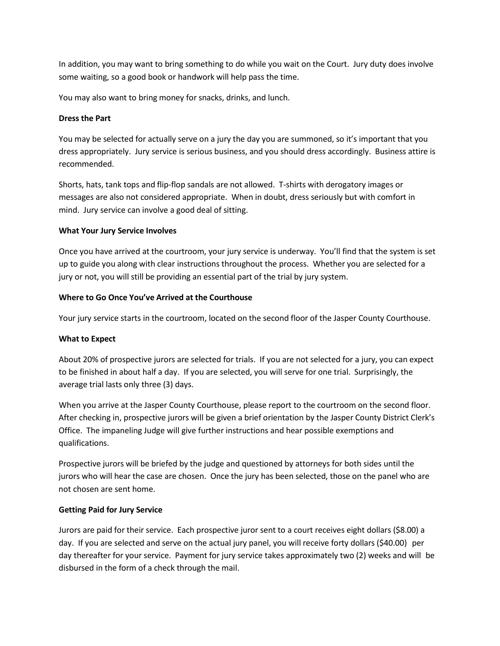In addition, you may want to bring something to do while you wait on the Court. Jury duty does involve some waiting, so a good book or handwork will help pass the time.

You may also want to bring money for snacks, drinks, and lunch.

# **Dress the Part**

You may be selected for actually serve on a jury the day you are summoned, so it's important that you dress appropriately. Jury service is serious business, and you should dress accordingly. Business attire is recommended.

Shorts, hats, tank tops and flip-flop sandals are not allowed. T-shirts with derogatory images or messages are also not considered appropriate. When in doubt, dress seriously but with comfort in mind. Jury service can involve a good deal of sitting.

# **What Your Jury Service Involves**

Once you have arrived at the courtroom, your jury service is underway. You'll find that the system is set up to guide you along with clear instructions throughout the process. Whether you are selected for a jury or not, you will still be providing an essential part of the trial by jury system.

# **Where to Go Once You've Arrived at the Courthouse**

Your jury service starts in the courtroom, located on the second floor of the Jasper County Courthouse.

# **What to Expect**

About 20% of prospective jurors are selected for trials. If you are not selected for a jury, you can expect to be finished in about half a day. If you are selected, you will serve for one trial. Surprisingly, the average trial lasts only three (3) days.

When you arrive at the Jasper County Courthouse, please report to the courtroom on the second floor. After checking in, prospective jurors will be given a brief orientation by the Jasper County District Clerk's Office. The impaneling Judge will give further instructions and hear possible exemptions and qualifications.

Prospective jurors will be briefed by the judge and questioned by attorneys for both sides until the jurors who will hear the case are chosen. Once the jury has been selected, those on the panel who are not chosen are sent home.

# **Getting Paid for Jury Service**

Jurors are paid for their service. Each prospective juror sent to a court receives eight dollars (\$8.00) a day. If you are selected and serve on the actual jury panel, you will receive forty dollars (\$40.00) per day thereafter for your service. Payment for jury service takes approximately two (2) weeks and will be disbursed in the form of a check through the mail.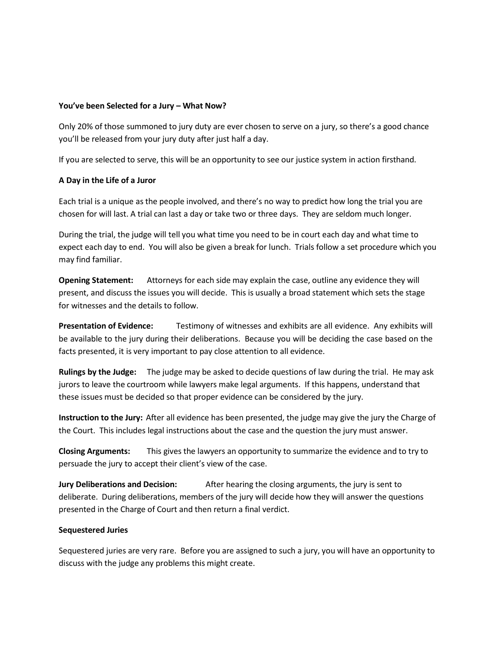#### **You've been Selected for a Jury – What Now?**

Only 20% of those summoned to jury duty are ever chosen to serve on a jury, so there's a good chance you'll be released from your jury duty after just half a day.

If you are selected to serve, this will be an opportunity to see our justice system in action firsthand.

# **A Day in the Life of a Juror**

Each trial is a unique as the people involved, and there's no way to predict how long the trial you are chosen for will last. A trial can last a day or take two or three days. They are seldom much longer.

During the trial, the judge will tell you what time you need to be in court each day and what time to expect each day to end. You will also be given a break for lunch. Trials follow a set procedure which you may find familiar.

**Opening Statement:** Attorneys for each side may explain the case, outline any evidence they will present, and discuss the issues you will decide. This is usually a broad statement which sets the stage for witnesses and the details to follow.

**Presentation of Evidence:** Testimony of witnesses and exhibits are all evidence. Any exhibits will be available to the jury during their deliberations. Because you will be deciding the case based on the facts presented, it is very important to pay close attention to all evidence.

**Rulings by the Judge:** The judge may be asked to decide questions of law during the trial. He may ask jurors to leave the courtroom while lawyers make legal arguments. If this happens, understand that these issues must be decided so that proper evidence can be considered by the jury.

**Instruction to the Jury:** After all evidence has been presented, the judge may give the jury the Charge of the Court. This includes legal instructions about the case and the question the jury must answer.

**Closing Arguments:** This gives the lawyers an opportunity to summarize the evidence and to try to persuade the jury to accept their client's view of the case.

**Jury Deliberations and Decision:** After hearing the closing arguments, the jury is sent to deliberate. During deliberations, members of the jury will decide how they will answer the questions presented in the Charge of Court and then return a final verdict.

# **Sequestered Juries**

Sequestered juries are very rare. Before you are assigned to such a jury, you will have an opportunity to discuss with the judge any problems this might create.